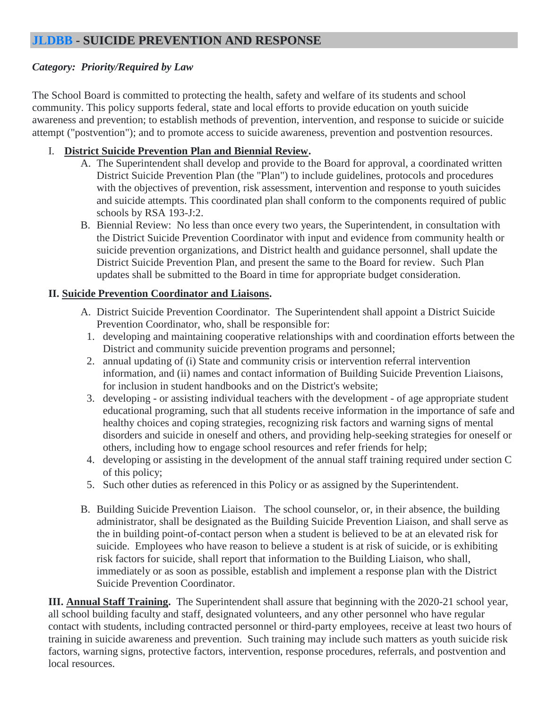# **[JLDBB](https://z2policy.ctspublish.com/policy/FileViewer.jsp?z2collection=nhsba&filetype=supportdocument&location=supportdocument&showset=nhsba&name=JLDBB.rtf) - SUICIDE PREVENTION AND RESPONSE**

#### *Category: Priority/Required by Law*

The School Board is committed to protecting the health, safety and welfare of its students and school community. This policy supports federal, state and local efforts to provide education on youth suicide awareness and prevention; to establish methods of prevention, intervention, and response to suicide or suicide attempt ("postvention"); and to promote access to suicide awareness, prevention and postvention resources.

#### I. **District Suicide Prevention Plan and Biennial Review.**

- A. The Superintendent shall develop and provide to the Board for approval, a coordinated written District Suicide Prevention Plan (the "Plan") to include guidelines, protocols and procedures with the objectives of prevention, risk assessment, intervention and response to youth suicides and suicide attempts. This coordinated plan shall conform to the components required of public schools by RSA 193-J:2.
- B. Biennial Review: No less than once every two years, the Superintendent, in consultation with the District Suicide Prevention Coordinator with input and evidence from community health or suicide prevention organizations, and District health and guidance personnel, shall update the District Suicide Prevention Plan, and present the same to the Board for review. Such Plan updates shall be submitted to the Board in time for appropriate budget consideration.

#### **II. Suicide Prevention Coordinator and Liaisons.**

- A. District Suicide Prevention Coordinator. The Superintendent shall appoint a District Suicide Prevention Coordinator, who, shall be responsible for:
	- 1. developing and maintaining cooperative relationships with and coordination efforts between the District and community suicide prevention programs and personnel;
- 2. annual updating of (i) State and community crisis or intervention referral intervention information, and (ii) names and contact information of Building Suicide Prevention Liaisons, for inclusion in student handbooks and on the District's website;
- 3. developing or assisting individual teachers with the development of age appropriate student educational programing, such that all students receive information in the importance of safe and healthy choices and coping strategies, recognizing risk factors and warning signs of mental disorders and suicide in oneself and others, and providing help-seeking strategies for oneself or others, including how to engage school resources and refer friends for help;
- 4. developing or assisting in the development of the annual staff training required under section C of this policy;
- 5. Such other duties as referenced in this Policy or as assigned by the Superintendent.
- B. Building Suicide Prevention Liaison. The school counselor, or, in their absence, the building administrator, shall be designated as the Building Suicide Prevention Liaison, and shall serve as the in building point-of-contact person when a student is believed to be at an elevated risk for suicide. Employees who have reason to believe a student is at risk of suicide, or is exhibiting risk factors for suicide, shall report that information to the Building Liaison, who shall, immediately or as soon as possible, establish and implement a response plan with the District Suicide Prevention Coordinator.

**III. Annual Staff Training.** The Superintendent shall assure that beginning with the 2020-21 school year, all school building faculty and staff, designated volunteers, and any other personnel who have regular contact with students, including contracted personnel or third-party employees, receive at least two hours of training in suicide awareness and prevention. Such training may include such matters as youth suicide risk factors, warning signs, protective factors, intervention, response procedures, referrals, and postvention and local resources.